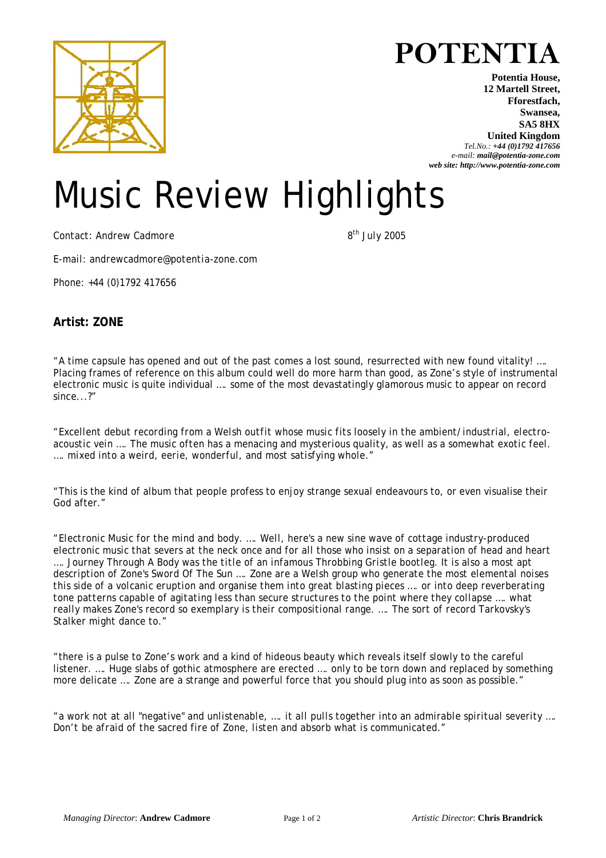

"A time capsule has opened and out of the past comes a lost sound, resurrected with new found vitality! …. Placing frames of reference on this album could well do more harm than good, as Zone's style of instrumental electronic music is quite individual …. some of the most devastatingly glamorous music to appear on record since...?"

*"Excellent debut recording from a Welsh outfit whose music fits loosely in the ambient/industrial, electroacoustic vein …. The music often has a menacing and mysterious quality, as well as a somewhat exotic feel. …. mixed into a weird, eerie, wonderful, and most satisfying whole."* 

"This is the kind of album that people profess to enjoy strange sexual endeavours to, or even visualise their God after."

*"Electronic Music for the mind and body. …. Well, here's a new sine wave of cottage industry-produced electronic music that severs at the neck once and for all those who insist on a separation of head and heart …. Journey Through A Body was the title of an infamous Throbbing Gristle bootleg. It is also a most apt description of Zone's Sword Of The Sun …. Zone are a Welsh group who generate the most elemental noises this side of a volcanic eruption and organise them into great blasting pieces …. or into deep reverberating tone patterns capable of agitating less than secure structures to the point where they collapse …. what really makes Zone's record so exemplary is their compositional range. …. The sort of record Tarkovsky's Stalker might dance to."*

"there is a pulse to Zone's work and a kind of hideous beauty which reveals itself slowly to the careful listener. …. Huge slabs of gothic atmosphere are erected …. only to be torn down and replaced by something more delicate .... Zone are a strange and powerful force that you should plug into as soon as possible."

*"a work not at all "negative" and unlistenable, …. it all pulls together into an admirable spiritual severity …. Don't be afraid of the sacred fire of Zone, listen and absorb what is communicated."* 

## **POTENTIA**

**Potentia House, 12 Martell Street, Fforestfach, Swansea, SA5 8HX United Kingdom** *Tel.No.: +44 (0)1792 417656*

*e-mail: mail@potentia-zone.com web site: http://www.potentia-zone.com* 

## Music Review Highlights

*Contact: Andrew Cadmore 8th July 2005*

*Phone: +44 (0)1792 417656*

*E-mail: andrewcadmore@potentia-zone.com*